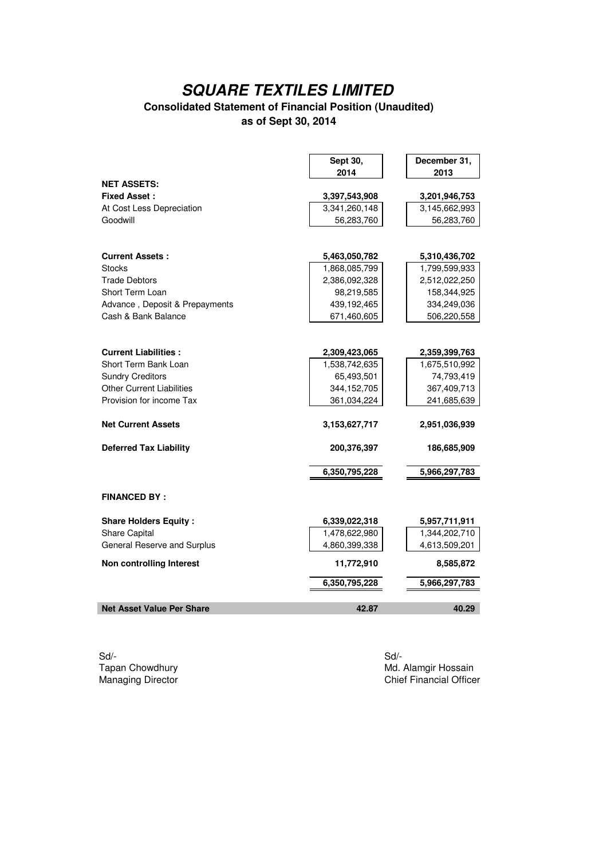#### **Consolidated Statement of Financial Position (Unaudited) as of Sept 30, 2014**

|                                  | Sept 30,      | December 31,  |
|----------------------------------|---------------|---------------|
|                                  | 2014          | 2013          |
| <b>NET ASSETS:</b>               |               |               |
| <b>Fixed Asset:</b>              | 3,397,543,908 | 3,201,946,753 |
| At Cost Less Depreciation        | 3,341,260,148 | 3,145,662,993 |
| Goodwill                         | 56,283,760    | 56,283,760    |
|                                  |               |               |
| <b>Current Assets:</b>           | 5,463,050,782 | 5,310,436,702 |
| <b>Stocks</b>                    | 1,868,085,799 | 1,799,599,933 |
| <b>Trade Debtors</b>             | 2,386,092,328 | 2,512,022,250 |
| Short Term Loan                  | 98,219,585    | 158,344,925   |
| Advance, Deposit & Prepayments   | 439,192,465   | 334,249,036   |
| Cash & Bank Balance              | 671,460,605   | 506,220,558   |
|                                  |               |               |
| <b>Current Liabilities:</b>      | 2,309,423,065 | 2,359,399,763 |
| Short Term Bank Loan             | 1,538,742,635 | 1,675,510,992 |
| <b>Sundry Creditors</b>          | 65,493,501    | 74,793,419    |
| <b>Other Current Liabilities</b> | 344,152,705   | 367,409,713   |
| Provision for income Tax         | 361,034,224   | 241,685,639   |
| <b>Net Current Assets</b>        | 3,153,627,717 | 2,951,036,939 |
| <b>Deferred Tax Liability</b>    | 200,376,397   | 186,685,909   |
|                                  | 6,350,795,228 | 5,966,297,783 |
|                                  |               |               |
| <b>FINANCED BY:</b>              |               |               |
| <b>Share Holders Equity:</b>     | 6,339,022,318 | 5,957,711,911 |
| Share Capital                    | 1,478,622,980 | 1,344,202,710 |
| General Reserve and Surplus      | 4,860,399,338 | 4,613,509,201 |
| <b>Non controlling Interest</b>  | 11,772,910    | 8,585,872     |
|                                  | 6,350,795,228 | 5,966,297,783 |
| <b>Net Asset Value Per Share</b> | 42.87         | 40.29         |
|                                  |               |               |

Sd/- Sd/-

 $\overline{\phantom{a}}$ 

Tapan Chowdhury **Manus American Chowdhury** Manus Manus Manus Manus Manus Manus Manus Manus Manus Manus Manus Manus<br>
Manus Manus Director Chief Financial Office Chief Financial Officer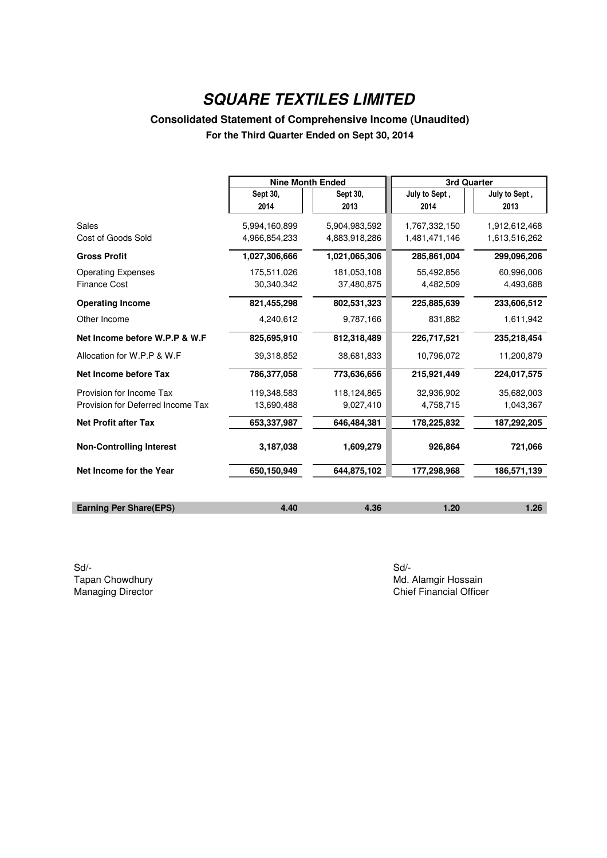### **Consolidated Statement of Comprehensive Income (Unaudited)**

**For the Third Quarter Ended on Sept 30, 2014**

|                                   | <b>Nine Month Ended</b> |               | 3rd Quarter   |               |
|-----------------------------------|-------------------------|---------------|---------------|---------------|
|                                   | Sept 30,                | Sept 30,      | July to Sept, | July to Sept, |
|                                   | 2014                    | 2013          | 2014          | 2013          |
| Sales                             | 5,994,160,899           | 5,904,983,592 | 1,767,332,150 | 1,912,612,468 |
| Cost of Goods Sold                | 4,966,854,233           | 4,883,918,286 | 1,481,471,146 | 1,613,516,262 |
| <b>Gross Profit</b>               | 1,027,306,666           | 1,021,065,306 | 285,861,004   | 299,096,206   |
| <b>Operating Expenses</b>         | 175,511,026             | 181,053,108   | 55,492,856    | 60,996,006    |
| <b>Finance Cost</b>               | 30,340,342              | 37,480,875    | 4,482,509     | 4,493,688     |
| <b>Operating Income</b>           | 821,455,298             | 802,531,323   | 225,885,639   | 233,606,512   |
| Other Income                      | 4,240,612               | 9,787,166     | 831,882       | 1,611,942     |
| Net Income before W.P.P & W.F     | 825,695,910             | 812,318,489   | 226,717,521   | 235,218,454   |
| Allocation for W.P.P & W.F        | 39,318,852              | 38,681,833    | 10,796,072    | 11,200,879    |
| Net Income before Tax             | 786,377,058             | 773,636,656   | 215,921,449   | 224,017,575   |
| Provision for Income Tax          | 119,348,583             | 118,124,865   | 32,936,902    | 35,682,003    |
| Provision for Deferred Income Tax | 13,690,488              | 9,027,410     | 4,758,715     | 1,043,367     |
| <b>Net Profit after Tax</b>       | 653,337,987             | 646,484,381   | 178,225,832   | 187,292,205   |
| <b>Non-Controlling Interest</b>   | 3,187,038               | 1,609,279     | 926,864       | 721,066       |
| Net Income for the Year           | 650,150,949             | 644,875,102   | 177,298,968   | 186,571,139   |
|                                   |                         |               |               |               |
| <b>Earning Per Share(EPS)</b>     | 4.40                    | 4.36          | 1.20          | 1.26          |

Sd/- Sd/-

Tapan Chowdhury **Tapan Chowdhury 1998** Md. Alamgir Hossain<br>Managing Director **Managing Director** Chief Financial Officer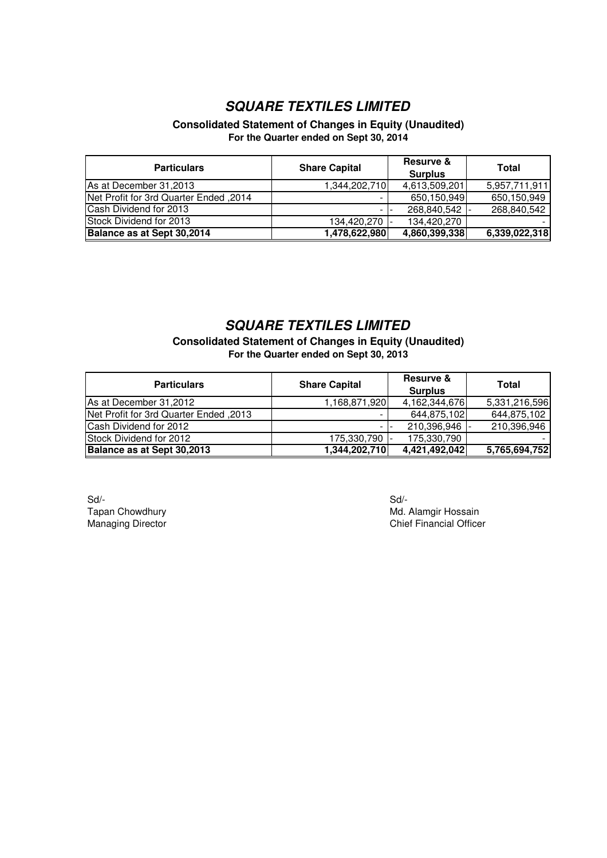#### **Consolidated Statement of Changes in Equity (Unaudited) For the Quarter ended on Sept 30, 2014**

| <b>Particulars</b>                     | <b>Share Capital</b> | <b>Resurve &amp;</b><br><b>Surplus</b> | Total         |
|----------------------------------------|----------------------|----------------------------------------|---------------|
| As at December 31,2013                 | 1,344,202,710        | 4,613,509,201                          | 5,957,711,911 |
| Net Profit for 3rd Quarter Ended, 2014 |                      | 650,150,949                            | 650,150,949   |
| Cash Dividend for 2013                 |                      | 268,840,542 -                          | 268,840,542   |
| Stock Dividend for 2013                | 134,420,270          | 134,420,270                            |               |
| Balance as at Sept 30,2014             | 1,478,622,980        | 4,860,399,338                          | 6,339,022,318 |

### *SQUARE TEXTILES LIMITED*

**Consolidated Statement of Changes in Equity (Unaudited) For the Quarter ended on Sept 30, 2013**

| <b>Particulars</b>                     | <b>Share Capital</b> | <b>Resurve &amp;</b><br><b>Surplus</b> | Total         |
|----------------------------------------|----------------------|----------------------------------------|---------------|
| As at December 31,2012                 | 1,168,871,920        | 4,162,344,676                          | 5,331,216,596 |
| Net Profit for 3rd Quarter Ended, 2013 |                      | 644,875,102                            | 644,875,102   |
| Cash Dividend for 2012                 |                      | 210,396,946                            | 210,396,946   |
| Stock Dividend for 2012                | 175,330,790          | 175,330,790                            |               |
| Balance as at Sept 30,2013             | 1,344,202,710        | 4,421,492,042                          | 5,765,694,752 |

Sd/- Sd/-

Tapan Chowdhury **Music Character Character Chowdhury** Md. Alamgir Hossain Managing Director **Chief Financial Officer** Chief Financial Officer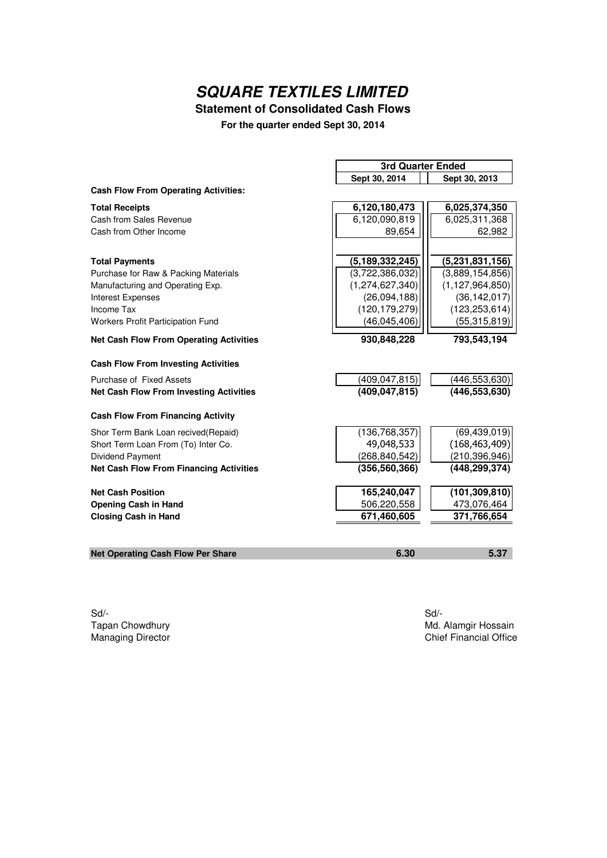### **Statement of Consolidated Cash Flows**

**For the quarter ended Sept 30, 2014**

|                                                | <b>3rd Quarter Ended</b>       |                              |  |
|------------------------------------------------|--------------------------------|------------------------------|--|
|                                                | Sept 30, 2014<br>Sept 30, 2013 |                              |  |
| <b>Cash Flow From Operating Activities:</b>    |                                |                              |  |
| <b>Total Receipts</b>                          | 6,120,180,473                  | 6,025,374,350                |  |
| Cash from Sales Revenue                        | 6,120,090,819                  | 6,025,311,368                |  |
| Cash from Other Income                         | 89,654                         | 62,982                       |  |
| <b>Total Payments</b>                          | (5, 189, 332, 245)             | $\overline{(5,231,831,156)}$ |  |
| Purchase for Raw & Packing Materials           | (3,722,386,032)                | (3,889,154,856)              |  |
| Manufacturing and Operating Exp.               | (1, 274, 627, 340)             | (1, 127, 964, 850)           |  |
| <b>Interest Expenses</b>                       | (26,094,188)                   | (36, 142, 017)               |  |
| Income Tax                                     | (120, 179, 279)                | (123, 253, 614)              |  |
| Workers Profit Participation Fund              | (46, 045, 406)                 | (55, 315, 819)               |  |
| <b>Net Cash Flow From Operating Activities</b> | 930,848,228                    | 793,543,194                  |  |
| <b>Cash Flow From Investing Activities</b>     |                                |                              |  |
| Purchase of Fixed Assets                       | (409, 047, 815)                | (446, 553, 630)              |  |
| <b>Net Cash Flow From Investing Activities</b> | (409, 047, 815)                | (446, 553, 630)              |  |
| <b>Cash Flow From Financing Activity</b>       |                                |                              |  |
| Shor Term Bank Loan recived(Repaid)            | (136, 768, 357)                | (69, 439, 019)               |  |
| Short Term Loan From (To) Inter Co.            | 49,048,533                     | (168, 463, 409)              |  |
| Dividend Payment                               | (268, 840, 542)                | (210, 396, 946)              |  |
| <b>Net Cash Flow From Financing Activities</b> | (356, 560, 366)                | (448, 299, 374)              |  |
| <b>Net Cash Position</b>                       | 165,240,047                    | (101, 309, 810)              |  |
| <b>Opening Cash in Hand</b>                    | 506,220,558                    | 473,076,464                  |  |
| <b>Closing Cash in Hand</b>                    | 671,460,605                    | 371,766,654                  |  |
|                                                |                                |                              |  |
| <b>Net Operating Cash Flow Per Share</b>       | 6.30                           | 5.37                         |  |

Sd/- Sd/-

Tapan Chowdhury **Maxwell Strategier Chowdhury** Maxwell Maxwell Maxwell Maxwell Maxwell Maxwell Maxwell Maxwell Maxwell Maxwell Maxwell Maxwell Maxwell Maxwell Maxwell Maxwell Maxwell Maxwell Maxwell Maxwell Maxwell Maxwell Chief Financial Office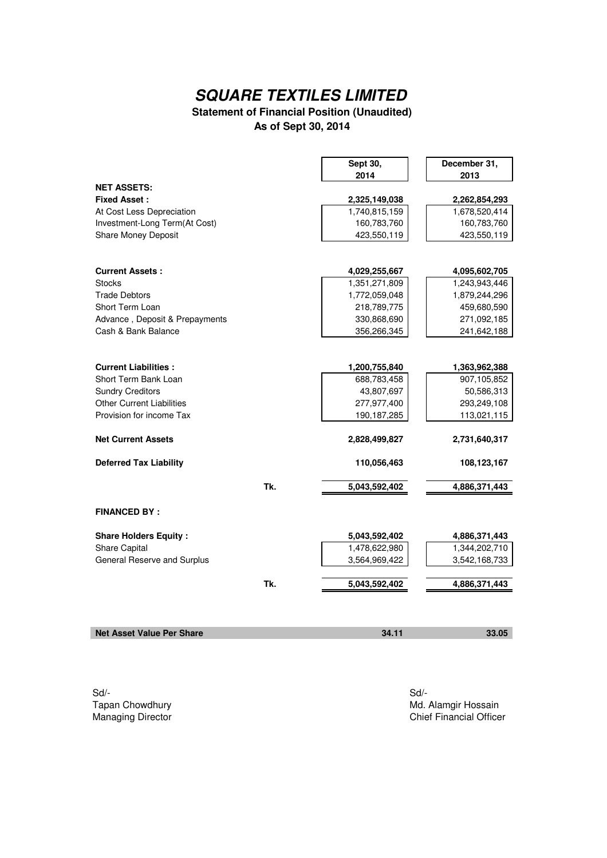### **Statement of Financial Position (Unaudited) As of Sept 30, 2014**

|                                  |     | Sept 30,<br>2014 | December 31,<br>2013 |
|----------------------------------|-----|------------------|----------------------|
| <b>NET ASSETS:</b>               |     |                  |                      |
| <b>Fixed Asset:</b>              |     | 2,325,149,038    | 2,262,854,293        |
| At Cost Less Depreciation        |     | 1,740,815,159    | 1,678,520,414        |
| Investment-Long Term(At Cost)    |     | 160,783,760      | 160,783,760          |
| <b>Share Money Deposit</b>       |     | 423,550,119      | 423,550,119          |
|                                  |     |                  |                      |
| <b>Current Assets:</b>           |     | 4,029,255,667    | 4,095,602,705        |
| <b>Stocks</b>                    |     | 1,351,271,809    | 1,243,943,446        |
| <b>Trade Debtors</b>             |     | 1,772,059,048    | 1,879,244,296        |
| Short Term Loan                  |     | 218,789,775      | 459,680,590          |
| Advance, Deposit & Prepayments   |     | 330,868,690      | 271,092,185          |
| Cash & Bank Balance              |     | 356,266,345      | 241,642,188          |
|                                  |     |                  |                      |
| <b>Current Liabilities:</b>      |     | 1,200,755,840    | 1,363,962,388        |
| Short Term Bank Loan             |     | 688,783,458      | 907,105,852          |
| <b>Sundry Creditors</b>          |     | 43,807,697       | 50,586,313           |
| <b>Other Current Liabilities</b> |     | 277,977,400      | 293,249,108          |
| Provision for income Tax         |     | 190, 187, 285    | 113,021,115          |
| <b>Net Current Assets</b>        |     | 2,828,499,827    | 2,731,640,317        |
|                                  |     |                  |                      |
| <b>Deferred Tax Liability</b>    |     | 110,056,463      | 108,123,167          |
|                                  | Tk. | 5,043,592,402    | 4,886,371,443        |
| <b>FINANCED BY:</b>              |     |                  |                      |
|                                  |     |                  |                      |
| <b>Share Holders Equity:</b>     |     | 5,043,592,402    | 4,886,371,443        |
| <b>Share Capital</b>             |     | 1,478,622,980    | 1,344,202,710        |
| General Reserve and Surplus      |     | 3,564,969,422    | 3,542,168,733        |
|                                  | Tk. | 5,043,592,402    | 4,886,371,443        |
|                                  |     |                  |                      |
|                                  |     |                  |                      |
| <b>Net Asset Value Per Share</b> |     | 34.11            | 33.05                |

Sd/- Sd/-

Tapan Chowdhury **Maxwell Strategier Chowdhury** Maxwell Maxwell Maxwell Maxwell Maxwell Maxwell Maxwell Maxwell Maxwell Maxwell Maxwell Maxwell Maxwell Maxwell Maxwell Maxwell Maxwell Maxwell Maxwell Maxwell Maxwell Maxwell Chief Financial Officer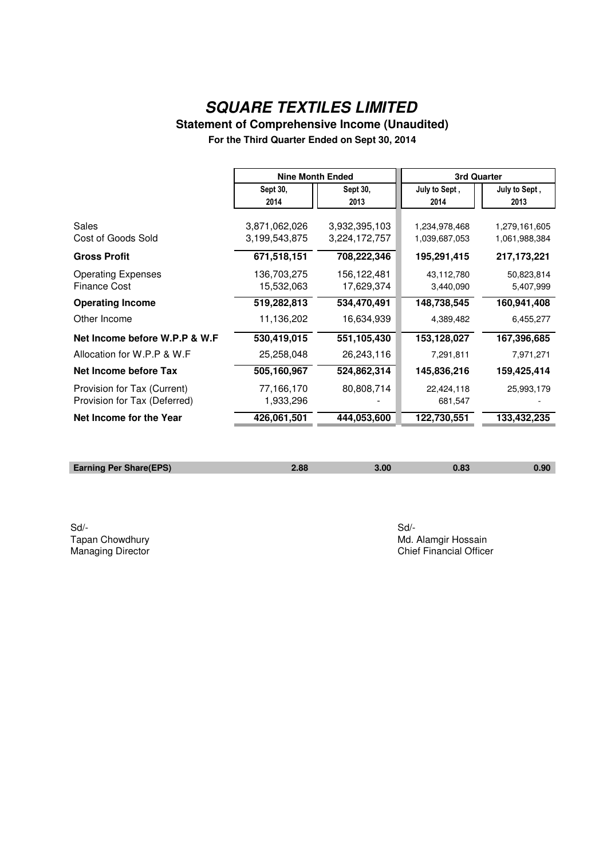# **Statement of Comprehensive Income (Unaudited)**

**For the Third Quarter Ended on Sept 30, 2014**

|                                                             | <b>Nine Month Ended</b>        |                                | <b>3rd Quarter</b>             |                                |
|-------------------------------------------------------------|--------------------------------|--------------------------------|--------------------------------|--------------------------------|
|                                                             | Sept 30,<br>2014               | Sept 30,<br>2013               | July to Sept,<br>2014          | July to Sept,<br>2013          |
| Sales<br>Cost of Goods Sold                                 | 3,871,062,026<br>3,199,543,875 | 3,932,395,103<br>3,224,172,757 | 1,234,978,468<br>1,039,687,053 | 1,279,161,605<br>1,061,988,384 |
| <b>Gross Profit</b>                                         | 671,518,151                    | 708,222,346                    | 195,291,415                    | 217,173,221                    |
| <b>Operating Expenses</b><br><b>Finance Cost</b>            | 136,703,275<br>15,532,063      | 156,122,481<br>17,629,374      | 43,112,780<br>3,440,090        | 50,823,814<br>5,407,999        |
| <b>Operating Income</b>                                     | 519,282,813                    | 534,470,491                    | 148,738,545                    | 160,941,408                    |
| Other Income                                                | 11,136,202                     | 16,634,939                     | 4,389,482                      | 6,455,277                      |
| Net Income before W.P.P & W.F                               | 530,419,015                    | 551,105,430                    | 153,128,027                    | 167,396,685                    |
| Allocation for W.P.P & W.F                                  | 25,258,048                     | 26,243,116                     | 7,291,811                      | 7,971,271                      |
| Net Income before Tax                                       | 505,160,967                    | 524,862,314                    | 145,836,216                    | 159,425,414                    |
| Provision for Tax (Current)<br>Provision for Tax (Deferred) | 77,166,170<br>1,933,296        | 80,808,714                     | 22,424,118<br>681,547          | 25,993,179                     |
| Net Income for the Year                                     | 426,061,501                    | 444,053,600                    | 122,730,551                    | 133,432,235                    |

| <b>Earning Per Share(EPS)</b> |  | ۹N |
|-------------------------------|--|----|
|                               |  |    |

Sd/- Sd/-

Tapan Chowdhury **Tapan Chowdhury**<br>
Managing Director **Managing Director**<br>
Managing Director **Managing Director** Chief Financial Officer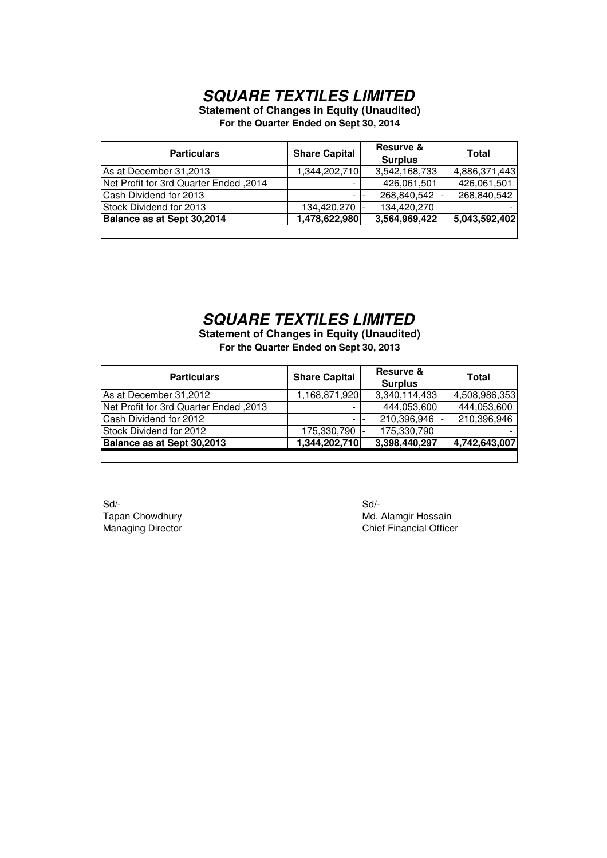**Statement of Changes in Equity (Unaudited)**

**For the Quarter Ended on Sept 30, 2014**

| <b>Particulars</b>                     | <b>Share Capital</b> | Resurve &<br><b>Surplus</b> | Total         |
|----------------------------------------|----------------------|-----------------------------|---------------|
| As at December 31,2013                 | 1,344,202,710        | 3,542,168,733               | 4,886,371,443 |
| Net Profit for 3rd Quarter Ended, 2014 |                      | 426,061,501                 | 426,061,501   |
| Cash Dividend for 2013                 |                      | 268,840,542                 | 268,840,542   |
| Stock Dividend for 2013                | 134,420,270          | 134,420,270                 |               |
| Balance as at Sept 30,2014             | 1,478,622,980        | 3,564,969,422               | 5,043,592,402 |
|                                        |                      |                             |               |

### *SQUARE TEXTILES LIMITED*

**Statement of Changes in Equity (Unaudited) For the Quarter Ended on Sept 30, 2013**

| <b>Particulars</b>                      | <b>Share Capital</b> | <b>Resurve &amp;</b><br><b>Surplus</b> | Total         |
|-----------------------------------------|----------------------|----------------------------------------|---------------|
| As at December 31,2012                  | 1,168,871,920        | 3,340,114,433                          | 4,508,986,353 |
| Alet Profit for 3rd Quarter Ended, 2013 |                      | 444,053,600                            | 444,053,600   |
| Cash Dividend for 2012                  |                      | 210,396,946                            | 210,396,946   |
| Stock Dividend for 2012                 | 175,330,790          | 175,330,790                            |               |
| Balance as at Sept 30,2013              | 1,344,202,710        | 3,398,440,297                          | 4,742,643,007 |
|                                         |                      |                                        |               |

Sd/- Sd/-

Tapan Chowdhury **Mathematic State of Tapan Chowdhury** Md. Alamgir Hossain Managing Director **Chief Financial Officer** Chief Financial Officer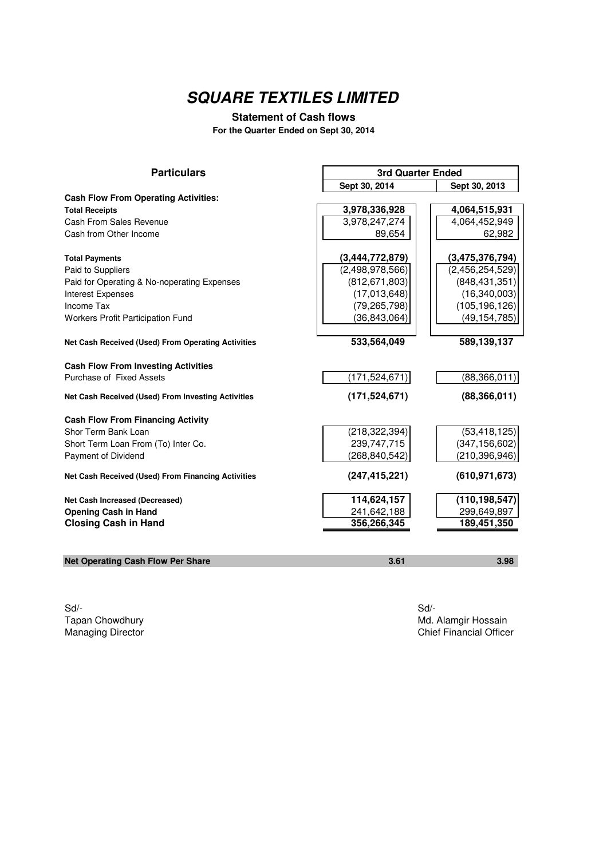### **Statement of Cash flows**

**For the Quarter Ended on Sept 30, 2014**

| <b>Particulars</b>                                 | <b>3rd Quarter Ended</b> |                 |
|----------------------------------------------------|--------------------------|-----------------|
|                                                    | Sept 30, 2014            | Sept 30, 2013   |
| <b>Cash Flow From Operating Activities:</b>        |                          |                 |
| <b>Total Receipts</b>                              | 3,978,336,928            | 4,064,515,931   |
| Cash From Sales Revenue                            | 3,978,247,274            | 4,064,452,949   |
| Cash from Other Income                             | 89,654                   | 62,982          |
| <b>Total Payments</b>                              | (3,444,772,879)          | (3,475,376,794) |
| Paid to Suppliers                                  | (2,498,978,566)          | (2,456,254,529) |
| Paid for Operating & No-noperating Expenses        | (812, 671, 803)          | (848, 431, 351) |
| Interest Expenses                                  | (17,013,648)             | (16,340,003)    |
| <b>Income Tax</b>                                  | (79, 265, 798)           | (105, 196, 126) |
| Workers Profit Participation Fund                  | (36,843,064)             | (49,154,785)    |
|                                                    |                          |                 |
| Net Cash Received (Used) From Operating Activities | 533,564,049              | 589,139,137     |
| <b>Cash Flow From Investing Activities</b>         |                          |                 |
| Purchase of Fixed Assets                           | (171, 524, 671)          | (88,366,011)    |
| Net Cash Received (Used) From Investing Activities | (171, 524, 671)          | (88, 366, 011)  |
| <b>Cash Flow From Financing Activity</b>           |                          |                 |
| Shor Term Bank Loan                                | (218, 322, 394)          | (53, 418, 125)  |
| Short Term Loan From (To) Inter Co.                | 239,747,715              | (347, 156, 602) |
| Payment of Dividend                                | (268, 840, 542)          | (210, 396, 946) |
| Net Cash Received (Used) From Financing Activities | (247, 415, 221)          | (610, 971, 673) |
| Net Cash Increased (Decreased)                     | 114,624,157              | (110, 198, 547) |
| <b>Opening Cash in Hand</b>                        | 241,642,188              | 299,649,897     |
| <b>Closing Cash in Hand</b>                        | 356,266,345              | 189,451,350     |
|                                                    |                          |                 |
| <b>Net Operating Cash Flow Per Share</b>           | 3.61                     | 3.98            |

Sd/- Sd/-

Tapan Chowdhury **Maxwell Strategier (Tapan Chowdhury Maxwell Strategier Area Chowdhury Maxwell Strategier Area Chief Financial Office Area Chief Financial Office Area Chief Financial Office Area Chief Financial Office Area** Chief Financial Officer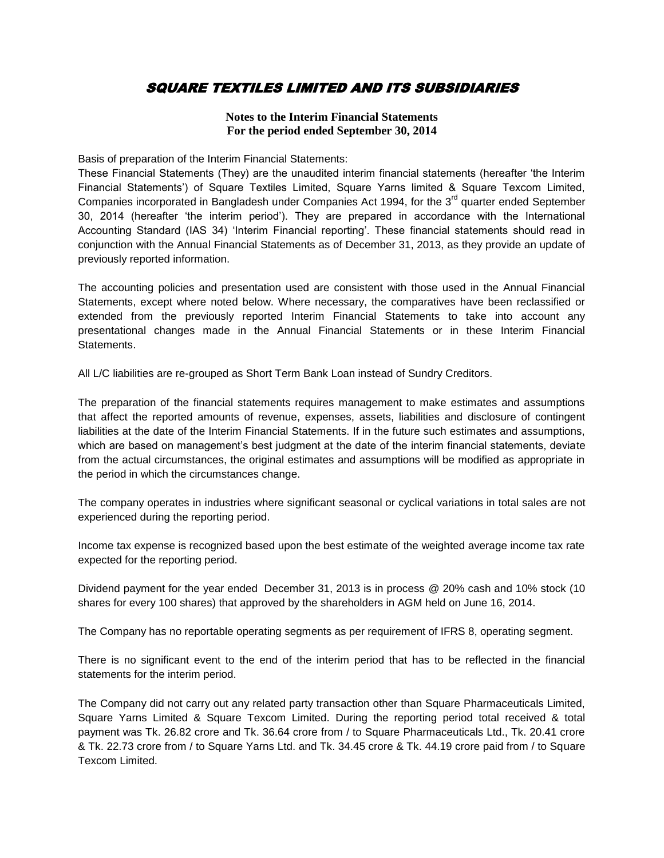### SQUARE TEXTILES LIMITED AND ITS SUBSIDIARIES

#### **Notes to the Interim Financial Statements For the period ended September 30, 2014**

Basis of preparation of the Interim Financial Statements:

These Financial Statements (They) are the unaudited interim financial statements (hereafter 'the Interim Financial Statements') of Square Textiles Limited, Square Yarns limited & Square Texcom Limited, Companies incorporated in Bangladesh under Companies Act 1994, for the 3<sup>rd</sup> quarter ended September 30, 2014 (hereafter 'the interim period'). They are prepared in accordance with the International Accounting Standard (IAS 34) 'Interim Financial reporting'. These financial statements should read in conjunction with the Annual Financial Statements as of December 31, 2013, as they provide an update of previously reported information.

The accounting policies and presentation used are consistent with those used in the Annual Financial Statements, except where noted below. Where necessary, the comparatives have been reclassified or extended from the previously reported Interim Financial Statements to take into account any presentational changes made in the Annual Financial Statements or in these Interim Financial Statements.

All L/C liabilities are re-grouped as Short Term Bank Loan instead of Sundry Creditors.

The preparation of the financial statements requires management to make estimates and assumptions that affect the reported amounts of revenue, expenses, assets, liabilities and disclosure of contingent liabilities at the date of the Interim Financial Statements. If in the future such estimates and assumptions, which are based on management's best judgment at the date of the interim financial statements, deviate from the actual circumstances, the original estimates and assumptions will be modified as appropriate in the period in which the circumstances change.

The company operates in industries where significant seasonal or cyclical variations in total sales are not experienced during the reporting period.

Income tax expense is recognized based upon the best estimate of the weighted average income tax rate expected for the reporting period.

Dividend payment for the year ended December 31, 2013 is in process @ 20% cash and 10% stock (10 shares for every 100 shares) that approved by the shareholders in AGM held on June 16, 2014.

The Company has no reportable operating segments as per requirement of IFRS 8, operating segment.

There is no significant event to the end of the interim period that has to be reflected in the financial statements for the interim period.

The Company did not carry out any related party transaction other than Square Pharmaceuticals Limited, Square Yarns Limited & Square Texcom Limited. During the reporting period total received & total payment was Tk. 26.82 crore and Tk. 36.64 crore from / to Square Pharmaceuticals Ltd., Tk. 20.41 crore & Tk. 22.73 crore from / to Square Yarns Ltd. and Tk. 34.45 crore & Tk. 44.19 crore paid from / to Square Texcom Limited.